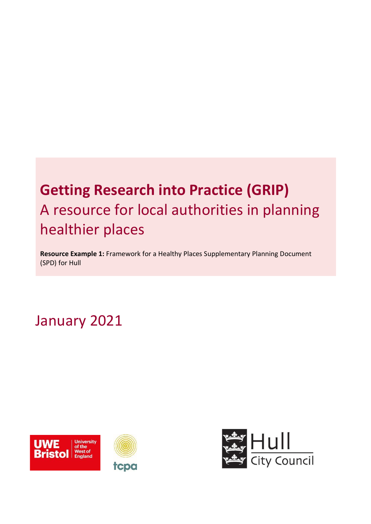# **Getting Research into Practice (GRIP)** A resource for local authorities in planning healthier places

**Resource Example 1:** Framework for a Healthy Places Supplementary Planning Document (SPD) for Hull

January 2021



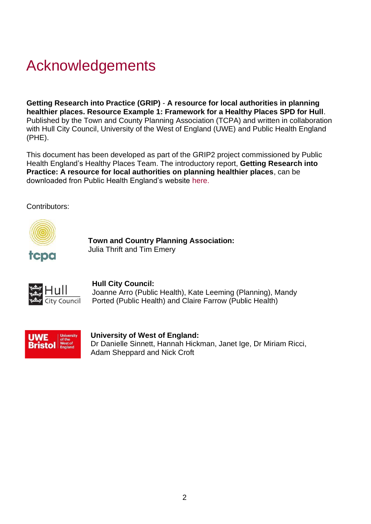# Acknowledgements

**Getting Research into Practice (GRIP)** - **A resource for local authorities in planning healthier places. Resource Example 1: Framework for a Healthy Places SPD for Hull**. Published by the Town and County Planning Association (TCPA) and written in collaboration with Hull City Council, University of the West of England (UWE) and Public Health England (PHE).

This document has been developed as part of the GRIP2 project commissioned by Public Health England's Healthy Places Team. The introductory report, **Getting Research into Practice: A resource for local authorities on planning healthier places**, can be downloaded fron Public Health England's website [here.](https://eur03.safelinks.protection.outlook.com/?url=https%3A%2F%2Fwww.gov.uk%2Fgovernment%2Fpublications%2Fspatial-planning-and-health-getting-research-into-practice-grip&data=04%7C01%7CTim.Emery%40tcpa.org.uk%7Ce0dece1e35814d0c21fa08d8a1a2a06d%7C7c8d1c3e6a2e4c60a232abd20d6e90ad%7C0%7C0%7C637437067133852652%7CUnknown%7CTWFpbGZsb3d8eyJWIjoiMC4wLjAwMDAiLCJQIjoiV2luMzIiLCJBTiI6Ik1haWwiLCJXVCI6Mn0%3D%7C1000&sdata=PoFILiDVhONAcnWJs3q45UTEFGY0FZ2GhRrhWVvxxAA%3D&reserved=0)

Contributors:



 **Town and Country Planning Association:**  Julia Thrift and Tim Emery



#### **Hull City Council:**

 Joanne Arro (Public Health), Kate Leeming (Planning), Mandy Ported (Public Health) and Claire Farrow (Public Health)



#### **University of West of England:**

 Dr Danielle Sinnett, Hannah Hickman, Janet Ige, Dr Miriam Ricci, Adam Sheppard and Nick Croft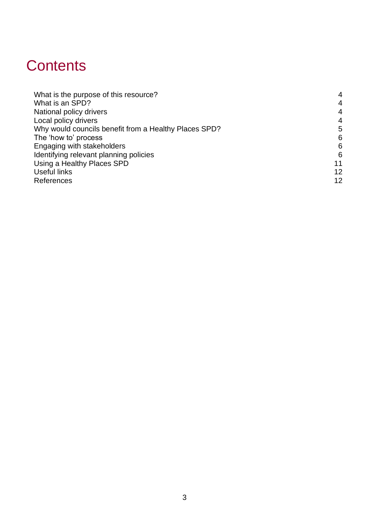# **Contents**

| $\overline{4}$ |
|----------------|
| $\overline{4}$ |
| $\overline{4}$ |
| $\overline{4}$ |
| 5              |
| 6              |
| 6              |
| 6              |
| 11             |
| 12             |
| 12             |
|                |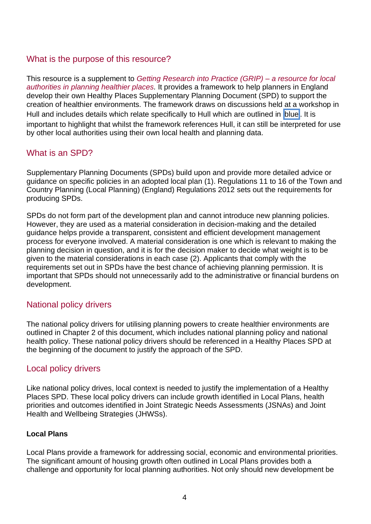## <span id="page-3-0"></span>What is the purpose of this resource?

This resource is a supplement to *[Getting Research into Practice \(GRIP\) –](https://eur03.safelinks.protection.outlook.com/?url=https%3A%2F%2Fwww.gov.uk%2Fgovernment%2Fpublications%2Fspatial-planning-and-health-getting-research-into-practice-grip&data=04%7C01%7CTim.Emery%40tcpa.org.uk%7Ce0dece1e35814d0c21fa08d8a1a2a06d%7C7c8d1c3e6a2e4c60a232abd20d6e90ad%7C0%7C0%7C637437067133852652%7CUnknown%7CTWFpbGZsb3d8eyJWIjoiMC4wLjAwMDAiLCJQIjoiV2luMzIiLCJBTiI6Ik1haWwiLCJXVCI6Mn0%3D%7C1000&sdata=PoFILiDVhONAcnWJs3q45UTEFGY0FZ2GhRrhWVvxxAA%3D&reserved=0) a resource for local [authorities in planning healthier places.](https://eur03.safelinks.protection.outlook.com/?url=https%3A%2F%2Fwww.gov.uk%2Fgovernment%2Fpublications%2Fspatial-planning-and-health-getting-research-into-practice-grip&data=04%7C01%7CTim.Emery%40tcpa.org.uk%7Ce0dece1e35814d0c21fa08d8a1a2a06d%7C7c8d1c3e6a2e4c60a232abd20d6e90ad%7C0%7C0%7C637437067133852652%7CUnknown%7CTWFpbGZsb3d8eyJWIjoiMC4wLjAwMDAiLCJQIjoiV2luMzIiLCJBTiI6Ik1haWwiLCJXVCI6Mn0%3D%7C1000&sdata=PoFILiDVhONAcnWJs3q45UTEFGY0FZ2GhRrhWVvxxAA%3D&reserved=0)* It provides a framework to help planners in England develop their own Healthy Places Supplementary Planning Document (SPD) to support the creation of healthier environments. The framework draws on discussions held at a workshop in Hull and includes details which relate specifically to Hull which are outlined in blue. It is important to highlight that whilst the framework references Hull, it can still be interpreted for use by other local authorities using their own local health and planning data.

## <span id="page-3-1"></span>What is an SPD?

Supplementary Planning Documents (SPDs) build upon and provide more detailed advice or guidance on specific policies in an adopted local plan [\(1\).](#page-11-1) Regulations 11 to 16 of the Town and Country Planning (Local Planning) (England) Regulations 2012 sets out the requirements for producing SPDs.

SPDs do not form part of the development plan and cannot introduce new planning policies. However, they are used as a material consideration in decision-making and the detailed guidance helps provide a transparent, consistent and efficient development management process for everyone involved. A material consideration is one which is relevant to making the planning decision in question, and it is for the decision maker to decide what weight is to be given to the material considerations in each case [\(2\).](#page-11-2) Applicants that comply with the requirements set out in SPDs have the best chance of achieving planning permission. It is important that SPDs should not unnecessarily add to the administrative or financial burdens on development.

### <span id="page-3-2"></span>National policy drivers

The national policy drivers for utilising planning powers to create healthier environments are outlined in Chapter 2 of this document, which includes national planning policy and national health policy. These national policy drivers should be referenced in a Healthy Places SPD at the beginning of the document to justify the approach of the SPD.

## <span id="page-3-3"></span>Local policy drivers

Like national policy drives, local context is needed to justify the implementation of a Healthy Places SPD. These local policy drivers can include growth identified in Local Plans, health priorities and outcomes identified in Joint Strategic Needs Assessments (JSNAs) and Joint Health and Wellbeing Strategies (JHWSs).

#### **Local Plans**

Local Plans provide a framework for addressing social, economic and environmental priorities. The significant amount of housing growth often outlined in Local Plans provides both a challenge and opportunity for local planning authorities. Not only should new development be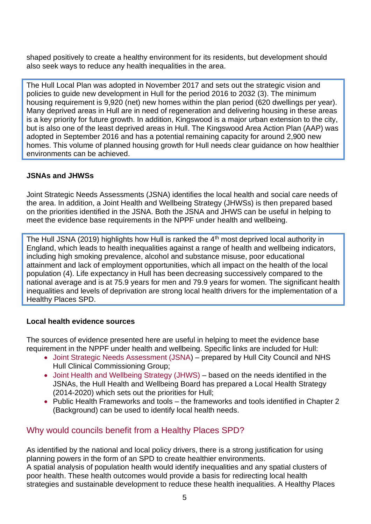shaped positively to create a healthy environment for its residents, but development should also seek ways to reduce any health inequalities in the area.

The Hull Local Plan was adopted in November 2017 and sets out the strategic vision and policies to guide new development in Hull for the period 2016 to 2032 [\(3\).](#page-11-3) The minimum housing requirement is 9,920 (net) new homes within the plan period (620 dwellings per year). Many deprived areas in Hull are in need of regeneration and delivering housing in these areas is a key priority for future growth. In addition, Kingswood is a major urban extension to the city, but is also one of the least deprived areas in Hull. The Kingswood Area Action Plan (AAP) was adopted in September 2016 and has a potential remaining capacity for around 2,900 new homes. This volume of planned housing growth for Hull needs clear guidance on how healthier environments can be achieved.

#### **JSNAs and JHWSs**

Joint Strategic Needs Assessments (JSNA) identifies the local health and social care needs of the area. In addition, a Joint Health and Wellbeing Strategy (JHWSs) is then prepared based on the priorities identified in the JSNA. Both the JSNA and JHWS can be useful in helping to meet the evidence base requirements in the NPPF under health and wellbeing.

The Hull JSNA (2019) highlights how Hull is ranked the 4<sup>th</sup> most deprived local authority in England, which leads to health inequalities against a range of health and wellbeing indicators, including high smoking prevalence, alcohol and substance misuse, poor educational attainment and lack of employment opportunities, which all impact on the health of the local population [\(4\).](#page-11-4) Life expectancy in Hull has been decreasing successively compared to the national average and is at 75.9 years for men and 79.9 years for women. The significant health inequalities and levels of deprivation are strong local health drivers for the implementation of a Healthy Places SPD.

#### **Local health evidence sources**

The sources of evidence presented here are useful in helping to meet the evidence base requirement in the NPPF under health and wellbeing. Specific links are included for Hull:

- [Joint Strategic Needs Assessment \(JSNA\)](http://www.hullcc.gov.uk/pls/hullpublichealth/jsna.html) prepared by Hull City Council and NHS Hull Clinical Commissioning Group;
- [Joint Health and Wellbeing Strategy \(JHWS\)](http://www.hullcc.gov.uk/pls/hullpublichealth/hwb.html) based on the needs identified in the JSNAs, the Hull Health and Wellbeing Board has prepared a Local Health Strategy (2014-2020) which sets out the priorities for Hull;
- Public Health Frameworks and tools the frameworks and tools identified in Chapter 2 (Background) can be used to identify local health needs.

## <span id="page-4-0"></span>Why would councils benefit from a Healthy Places SPD?

As identified by the national and local policy drivers, there is a strong justification for using planning powers in the form of an SPD to create healthier environments. A spatial analysis of population health would identify inequalities and any spatial clusters of poor health. These health outcomes would provide a basis for redirecting local health

strategies and sustainable development to reduce these health inequalities. A Healthy Places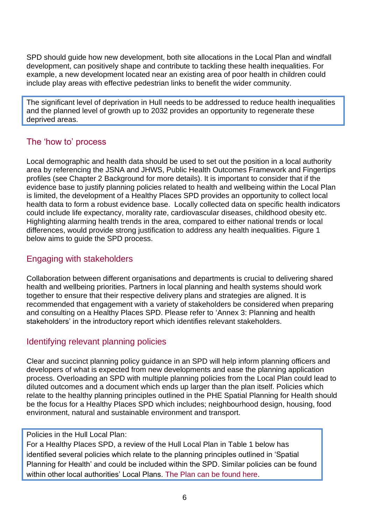SPD should guide how new development, both site allocations in the Local Plan and windfall development, can positively shape and contribute to tackling these health inequalities. For example, a new development located near an existing area of poor health in children could include play areas with effective pedestrian links to benefit the wider community.

The significant level of deprivation in Hull needs to be addressed to reduce health inequalities and the planned level of growth up to 2032 provides an opportunity to regenerate these deprived areas.

## <span id="page-5-0"></span>The 'how to' process

Local demographic and health data should be used to set out the position in a local authority area by referencing the JSNA and JHWS, Public Health Outcomes Framework and Fingertips profiles (see Chapter 2 Background for more details). It is important to consider that if the evidence base to justify planning policies related to health and wellbeing within the Local Plan is limited, the development of a Healthy Places SPD provides an opportunity to collect local health data to form a robust evidence base. Locally collected data on specific health indicators could include life expectancy, morality rate, cardiovascular diseases, childhood obesity etc. Highlighting alarming health trends in the area, compared to either national trends or local differences, would provide strong justification to address any health inequalities. Figure 1 below aims to guide the SPD process.

## <span id="page-5-1"></span>Engaging with stakeholders

Collaboration between different organisations and departments is crucial to delivering shared health and wellbeing priorities. Partners in local planning and health systems should work together to ensure that their respective delivery plans and strategies are aligned. It is recommended that engagement with a variety of stakeholders be considered when preparing and consulting on a Healthy Places SPD. Please refer to 'Annex 3: Planning and health stakeholders' in the introductory report which identifies relevant stakeholders.

# <span id="page-5-2"></span>Identifying relevant planning policies

Clear and succinct planning policy guidance in an SPD will help inform planning officers and developers of what is expected from new developments and ease the planning application process. Overloading an SPD with multiple planning policies from the Local Plan could lead to diluted outcomes and a document which ends up larger than the plan itself. Policies which relate to the healthy planning principles outlined in the PHE Spatial Planning for Health should be the focus for a Healthy Places SPD which includes; neighbourhood design, housing, food environment, natural and sustainable environment and transport.

#### Policies in the Hull Local Plan:

For a Healthy Places SPD, a review of the Hull Local Plan in Table 1 below has identified several policies which relate to the planning principles outlined in 'Spatial Planning for Health' and could be included within the SPD. Similar policies can be found within other local authorities' Local Plans. [The Plan can be found here.](http://www.hull.gov.uk/council-and-democracy/policies-and-plans/local-plan)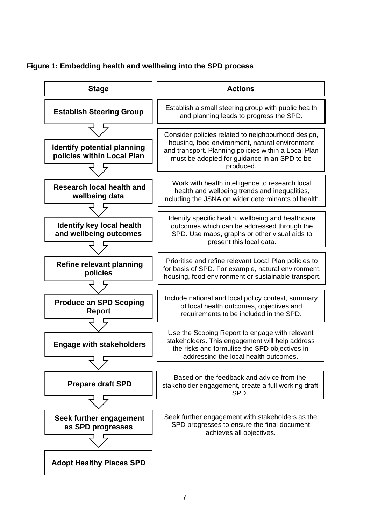

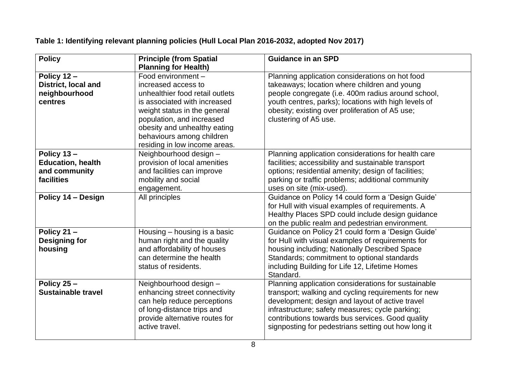**Table 1: Identifying relevant planning policies (Hull Local Plan 2016-2032, adopted Nov 2017)**

| <b>Policy</b>              | <b>Principle (from Spatial</b>                   | <b>Guidance in an SPD</b>                            |
|----------------------------|--------------------------------------------------|------------------------------------------------------|
|                            | <b>Planning for Health)</b>                      |                                                      |
| Policy 12-                 | Food environment -                               | Planning application considerations on hot food      |
| <b>District, local and</b> | increased access to                              | takeaways; location where children and young         |
| neighbourhood              | unhealthier food retail outlets                  | people congregate (i.e. 400m radius around school,   |
| centres                    | is associated with increased                     | youth centres, parks); locations with high levels of |
|                            | weight status in the general                     | obesity; existing over proliferation of A5 use;      |
|                            | population, and increased                        | clustering of A5 use.                                |
|                            | obesity and unhealthy eating                     |                                                      |
|                            | behaviours among children                        |                                                      |
|                            | residing in low income areas.                    |                                                      |
| Policy 13-                 | Neighbourhood design -                           | Planning application considerations for health care  |
| <b>Education, health</b>   | provision of local amenities                     | facilities; accessibility and sustainable transport  |
| and community              | and facilities can improve                       | options; residential amenity; design of facilities;  |
| facilities                 | mobility and social                              | parking or traffic problems; additional community    |
|                            | engagement.                                      | uses on site (mix-used).                             |
| Policy 14 - Design         | All principles                                   | Guidance on Policy 14 could form a 'Design Guide'    |
|                            |                                                  | for Hull with visual examples of requirements. A     |
|                            |                                                  | Healthy Places SPD could include design guidance     |
|                            |                                                  | on the public realm and pedestrian environment.      |
| Policy 21-                 | Housing - housing is a basic                     | Guidance on Policy 21 could form a 'Design Guide'    |
| <b>Designing for</b>       | human right and the quality                      | for Hull with visual examples of requirements for    |
| housing                    | and affordability of houses                      | housing including; Nationally Described Space        |
|                            | can determine the health                         | Standards; commitment to optional standards          |
|                            | status of residents.                             | including Building for Life 12, Lifetime Homes       |
|                            |                                                  | Standard.                                            |
| Policy 25-                 | Neighbourhood design -                           | Planning application considerations for sustainable  |
| <b>Sustainable travel</b>  | enhancing street connectivity                    | transport; walking and cycling requirements for new  |
|                            | can help reduce perceptions                      | development; design and layout of active travel      |
|                            | of long-distance trips and                       | infrastructure; safety measures; cycle parking;      |
|                            | provide alternative routes for<br>active travel. | contributions towards bus services. Good quality     |
|                            |                                                  | signposting for pedestrians setting out how long it  |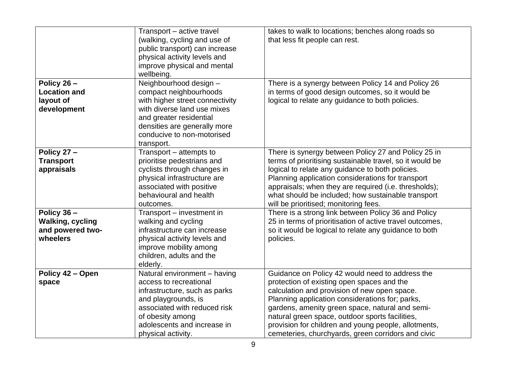|                                                                       | Transport - active travel<br>(walking, cycling and use of<br>public transport) can increase<br>physical activity levels and<br>improve physical and mental<br>wellbeing.                                                  | takes to walk to locations; benches along roads so<br>that less fit people can rest.                                                                                                                                                                                                                                                                                                                                 |
|-----------------------------------------------------------------------|---------------------------------------------------------------------------------------------------------------------------------------------------------------------------------------------------------------------------|----------------------------------------------------------------------------------------------------------------------------------------------------------------------------------------------------------------------------------------------------------------------------------------------------------------------------------------------------------------------------------------------------------------------|
| Policy 26-<br><b>Location and</b><br>layout of<br>development         | Neighbourhood design -<br>compact neighbourhoods<br>with higher street connectivity<br>with diverse land use mixes<br>and greater residential<br>densities are generally more<br>conducive to non-motorised<br>transport. | There is a synergy between Policy 14 and Policy 26<br>in terms of good design outcomes, so it would be<br>logical to relate any guidance to both policies.                                                                                                                                                                                                                                                           |
| Policy 27-<br><b>Transport</b><br>appraisals                          | Transport - attempts to<br>prioritise pedestrians and<br>cyclists through changes in<br>physical infrastructure are<br>associated with positive<br>behavioural and health<br>outcomes.                                    | There is synergy between Policy 27 and Policy 25 in<br>terms of prioritising sustainable travel, so it would be<br>logical to relate any guidance to both policies.<br>Planning application considerations for transport<br>appraisals; when they are required (i.e. thresholds);<br>what should be included; how sustainable transport<br>will be prioritised; monitoring fees.                                     |
| Policy 36-<br><b>Walking, cycling</b><br>and powered two-<br>wheelers | Transport - investment in<br>walking and cycling<br>infrastructure can increase<br>physical activity levels and<br>improve mobility among<br>children, adults and the<br>elderly.                                         | There is a strong link between Policy 36 and Policy<br>25 in terms of prioritisation of active travel outcomes,<br>so it would be logical to relate any guidance to both<br>policies.                                                                                                                                                                                                                                |
| Policy 42 - Open<br>space                                             | Natural environment - having<br>access to recreational<br>infrastructure, such as parks<br>and playgrounds, is<br>associated with reduced risk<br>of obesity among<br>adolescents and increase in<br>physical activity.   | Guidance on Policy 42 would need to address the<br>protection of existing open spaces and the<br>calculation and provision of new open space.<br>Planning application considerations for; parks,<br>gardens, amenity green space, natural and semi-<br>natural green space, outdoor sports facilities,<br>provision for children and young people, allotments,<br>cemeteries, churchyards, green corridors and civic |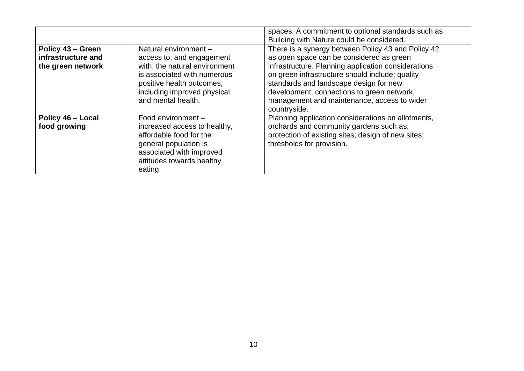|                                                              |                                                                                                                                                                                                      | spaces. A commitment to optional standards such as<br>Building with Nature could be considered.                                                                                                                                                                                                                                                                 |
|--------------------------------------------------------------|------------------------------------------------------------------------------------------------------------------------------------------------------------------------------------------------------|-----------------------------------------------------------------------------------------------------------------------------------------------------------------------------------------------------------------------------------------------------------------------------------------------------------------------------------------------------------------|
| Policy 43 - Green<br>infrastructure and<br>the green network | Natural environment -<br>access to, and engagement<br>with, the natural environment<br>is associated with numerous<br>positive health outcomes,<br>including improved physical<br>and mental health. | There is a synergy between Policy 43 and Policy 42<br>as open space can be considered as green<br>infrastructure. Planning application considerations<br>on green infrastructure should include; quality<br>standards and landscape design for new<br>development, connections to green network,<br>management and maintenance, access to wider<br>countryside. |
| Policy 46 - Local<br>food growing                            | Food environment -<br>increased access to healthy,<br>affordable food for the<br>general population is<br>associated with improved<br>attitudes towards healthy<br>eating.                           | Planning application considerations on allotments,<br>orchards and community gardens such as;<br>protection of existing sites; design of new sites;<br>thresholds for provision.                                                                                                                                                                                |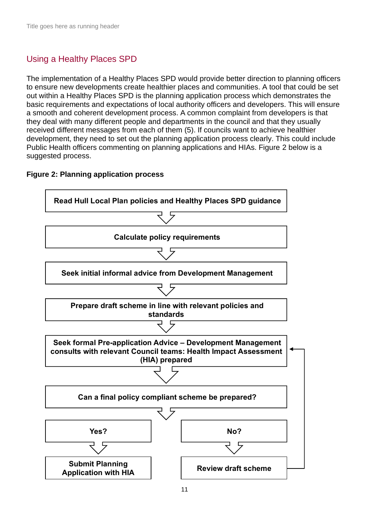# <span id="page-10-0"></span>Using a Healthy Places SPD

The implementation of a Healthy Places SPD would provide better direction to planning officers to ensure new developments create healthier places and communities. A tool that could be set out within a Healthy Places SPD is the planning application process which demonstrates the basic requirements and expectations of local authority officers and developers. This will ensure a smooth and coherent development process. A common complaint from developers is that they deal with many different people and departments in the council and that they usually received different messages from each of them [\(5\).](#page-11-5) If councils want to achieve healthier development, they need to set out the planning application process clearly. This could include Public Health officers commenting on planning applications and HIAs. Figure 2 below is a suggested process.

<span id="page-10-1"></span>

#### **Figure 2: Planning application process**